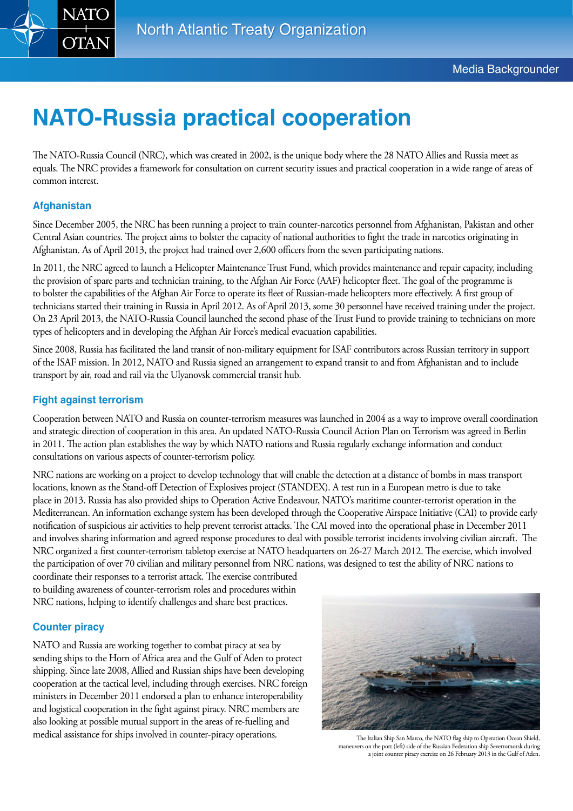

# **NATO-Russia practical cooperation**

The NATO-Russia Council (NRC), which was created in 2002, is the unique body where the 28 NATO Allies and Russia meet as equals. The NRC provides a framework for consultation on current security issues and practical cooperation in a wide range of areas of common interest.

## **Afghanistan**

Since December 2005, the NRC has been running a project to train counter-narcotics personnel from Afghanistan, Pakistan and other Central Asian countries. The project aims to bolster the capacity of national authorities to fight the trade in narcotics originating in Afghanistan. As of April 2013, the project had trained over 2,600 officers from the seven participating nations.

In 2011, the NRC agreed to launch a Helicopter Maintenance Trust Fund, which provides maintenance and repair capacity, including the provision of spare parts and technician training, to the Afghan Air Force (AAF) helicopter fleet. The goal of the programme is to bolster the capabilities of the Afghan Air Force to operate its fleet of Russian-made helicopters more effectively. A first group of technicians started their training in Russia in April 2012. As of April 2013, some 30 personnel have received training under the project. On 23 April 2013, the NATO-Russia Council launched the second phase of the Trust Fund to provide training to technicians on more types of helicopters and in developing the Afghan Air Force's medical evacuation capabilities.

Since 2008, Russia has facilitated the land transit of non-military equipment for ISAF contributors across Russian territory in support of the ISAF mission. In 2012, NATO and Russia signed an arrangement to expand transit to and from Afghanistan and to include transport by air, road and rail via the Ulyanovsk commercial transit hub.

### **Fight against terrorism**

Cooperation between NATO and Russia on counter-terrorism measures was launched in 2004 as a way to improve overall coordination and strategic direction of cooperation in this area. An updated NATO-Russia Council Action Plan on Terrorism was agreed in Berlin in 2011. The action plan establishes the way by which NATO nations and Russia regularly exchange information and conduct consultations on various aspects of counter-terrorism policy.

NRC nations are working on a project to develop technology that will enable the detection at a distance of bombs in mass transport locations, known as the Stand-off Detection of Explosives project (STANDEX). A test run in a European metro is due to take place in 2013. Russia has also provided ships to Operation Active Endeavour, NATO's maritime counter-terrorist operation in the Mediterranean. An information exchange system has been developed through the Cooperative Airspace Initiative (CAI) to provide early notification of suspicious air activities to help prevent terrorist attacks. The CAI moved into the operational phase in December 2011 and involves sharing information and agreed response procedures to deal with possible terrorist incidents involving civilian aircraft. The NRC organized a first counter-terrorism tabletop exercise at NATO headquarters on 26-27 March 2012. The exercise, which involved the participation of over 70 civilian and military personnel from NRC nations, was designed to test the ability of NRC nations to

coordinate their responses to a terrorist attack. The exercise contributed to building awareness of counter-terrorism roles and procedures within NRC nations, helping to identify challenges and share best practices.

#### **Counter piracy**

NATO and Russia are working together to combat piracy at sea by sending ships to the Horn of Africa area and the Gulf of Aden to protect shipping. Since late 2008, Allied and Russian ships have been developing cooperation at the tactical level, including through exercises. NRC foreign ministers in December 2011 endorsed a plan to enhance interoperability and logistical cooperation in the fight against piracy. NRC members are also looking at possible mutual support in the areas of re-fuelling and medical assistance for ships involved in counter-piracy operations. The Italian Ship San Marco, the NATO flag ship to Operation Ocean Shield,



maneuvers on the port (left) side of the Russian Federation ship Severromorsk during a joint counter piracy exercise on 26 February 2013 in the Gulf of Aden.